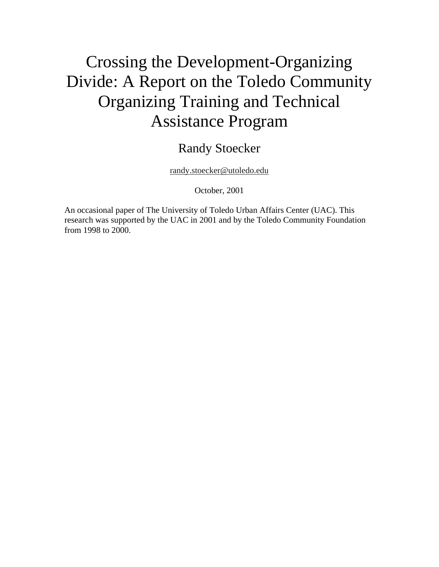# Crossing the Development-Organizing Divide: A Report on the Toledo Community Organizing Training and Technical Assistance Program

# Randy Stoecker

randy.stoecker@utoledo.edu

October, 2001

An occasional paper of The University of Toledo Urban Affairs Center (UAC). This research was supported by the UAC in 2001 and by the Toledo Community Foundation from 1998 to 2000.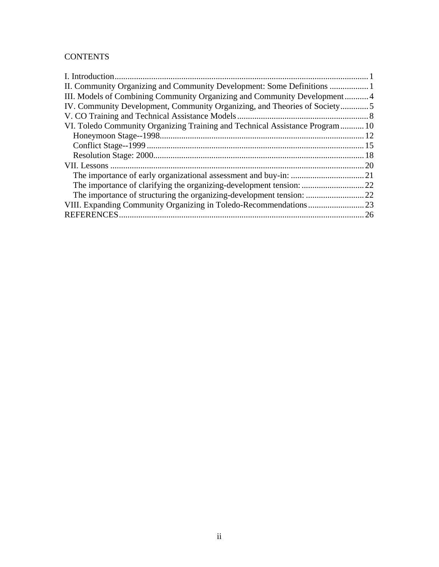#### **CONTENTS**

| III. Models of Combining Community Organizing and Community Development4     |     |
|------------------------------------------------------------------------------|-----|
| IV. Community Development, Community Organizing, and Theories of Society5    |     |
|                                                                              |     |
| VI. Toledo Community Organizing Training and Technical Assistance Program 10 |     |
|                                                                              |     |
|                                                                              |     |
|                                                                              |     |
|                                                                              | .20 |
|                                                                              |     |
|                                                                              |     |
|                                                                              |     |
|                                                                              | .23 |
| <b>REFERENCES</b>                                                            | 26  |
|                                                                              |     |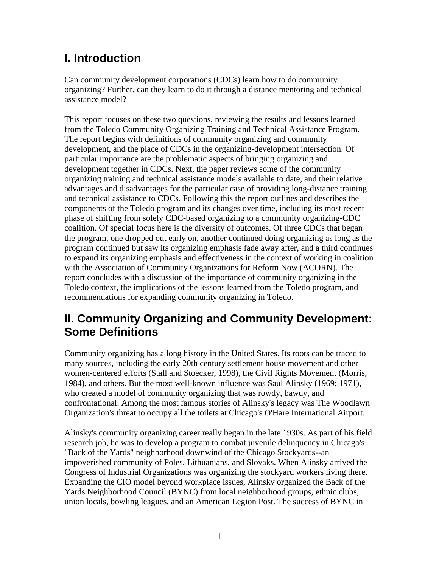# **I. Introduction**

Can community development corporations (CDCs) learn how to do community organizing? Further, can they learn to do it through a distance mentoring and technical assistance model?

This report focuses on these two questions, reviewing the results and lessons learned from the Toledo Community Organizing Training and Technical Assistance Program. The report begins with definitions of community organizing and community development, and the place of CDCs in the organizing-development intersection. Of particular importance are the problematic aspects of bringing organizing and development together in CDCs. Next, the paper reviews some of the community organizing training and technical assistance models available to date, and their relative advantages and disadvantages for the particular case of providing long-distance training and technical assistance to CDCs. Following this the report outlines and describes the components of the Toledo program and its changes over time, including its most recent phase of shifting from solely CDC-based organizing to a community organizing-CDC coalition. Of special focus here is the diversity of outcomes. Of three CDCs that began the program, one dropped out early on, another continued doing organizing as long as the program continued but saw its organizing emphasis fade away after, and a third continues to expand its organizing emphasis and effectiveness in the context of working in coalition with the Association of Community Organizations for Reform Now (ACORN). The report concludes with a discussion of the importance of community organizing in the Toledo context, the implications of the lessons learned from the Toledo program, and recommendations for expanding community organizing in Toledo.

# **II. Community Organizing and Community Development: Some Definitions**

Community organizing has a long history in the United States. Its roots can be traced to many sources, including the early 20th century settlement house movement and other women-centered efforts (Stall and Stoecker, 1998), the Civil Rights Movement (Morris, 1984), and others. But the most well-known influence was Saul Alinsky (1969; 1971), who created a model of community organizing that was rowdy, bawdy, and confrontational. Among the most famous stories of Alinsky's legacy was The Woodlawn Organization's threat to occupy all the toilets at Chicago's O'Hare International Airport.

Alinsky's community organizing career really began in the late 1930s. As part of his field research job, he was to develop a program to combat juvenile delinquency in Chicago's "Back of the Yards" neighborhood downwind of the Chicago Stockyards--an impoverished community of Poles, Lithuanians, and Slovaks. When Alinsky arrived the Congress of Industrial Organizations was organizing the stockyard workers living there. Expanding the CIO model beyond workplace issues, Alinsky organized the Back of the Yards Neighborhood Council (BYNC) from local neighborhood groups, ethnic clubs, union locals, bowling leagues, and an American Legion Post. The success of BYNC in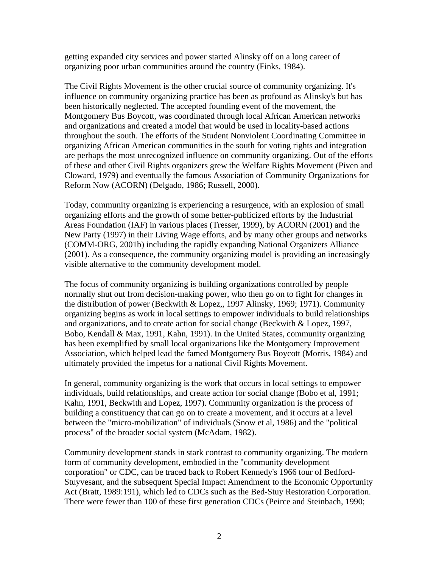getting expanded city services and power started Alinsky off on a long career of organizing poor urban communities around the country (Finks, 1984).

The Civil Rights Movement is the other crucial source of community organizing. It's influence on community organizing practice has been as profound as Alinsky's but has been historically neglected. The accepted founding event of the movement, the Montgomery Bus Boycott, was coordinated through local African American networks and organizations and created a model that would be used in locality-based actions throughout the south. The efforts of the Student Nonviolent Coordinating Committee in organizing African American communities in the south for voting rights and integration are perhaps the most unrecognized influence on community organizing. Out of the efforts of these and other Civil Rights organizers grew the Welfare Rights Movement (Piven and Cloward, 1979) and eventually the famous Association of Community Organizations for Reform Now (ACORN) (Delgado, 1986; Russell, 2000).

Today, community organizing is experiencing a resurgence, with an explosion of small organizing efforts and the growth of some better-publicized efforts by the Industrial Areas Foundation (IAF) in various places (Tresser, 1999), by ACORN (2001) and the New Party (1997) in their Living Wage efforts, and by many other groups and networks (COMM-ORG, 2001b) including the rapidly expanding National Organizers Alliance (2001). As a consequence, the community organizing model is providing an increasingly visible alternative to the community development model.

The focus of community organizing is building organizations controlled by people normally shut out from decision-making power, who then go on to fight for changes in the distribution of power (Beckwith & Lopez,, 1997 Alinsky, 1969; 1971). Community organizing begins as work in local settings to empower individuals to build relationships and organizations, and to create action for social change (Beckwith & Lopez, 1997, Bobo, Kendall & Max, 1991, Kahn, 1991). In the United States, community organizing has been exemplified by small local organizations like the Montgomery Improvement Association, which helped lead the famed Montgomery Bus Boycott (Morris, 1984) and ultimately provided the impetus for a national Civil Rights Movement.

In general, community organizing is the work that occurs in local settings to empower individuals, build relationships, and create action for social change (Bobo et al, 1991; Kahn, 1991, Beckwith and Lopez, 1997). Community organization is the process of building a constituency that can go on to create a movement, and it occurs at a level between the "micro-mobilization" of individuals (Snow et al, 1986) and the "political process" of the broader social system (McAdam, 1982).

Community development stands in stark contrast to community organizing. The modern form of community development, embodied in the "community development corporation" or CDC, can be traced back to Robert Kennedy's 1966 tour of Bedford-Stuyvesant, and the subsequent Special Impact Amendment to the Economic Opportunity Act (Bratt, 1989:191), which led to CDCs such as the Bed-Stuy Restoration Corporation. There were fewer than 100 of these first generation CDCs (Peirce and Steinbach, 1990;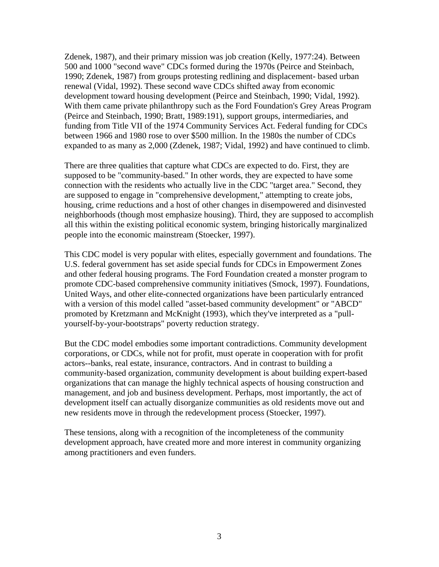Zdenek, 1987), and their primary mission was job creation (Kelly, 1977:24). Between 500 and 1000 "second wave" CDCs formed during the 1970s (Peirce and Steinbach, 1990; Zdenek, 1987) from groups protesting redlining and displacement- based urban renewal (Vidal, 1992). These second wave CDCs shifted away from economic development toward housing development (Peirce and Steinbach, 1990; Vidal, 1992). With them came private philanthropy such as the Ford Foundation's Grey Areas Program (Peirce and Steinbach, 1990; Bratt, 1989:191), support groups, intermediaries, and funding from Title VII of the 1974 Community Services Act. Federal funding for CDCs between 1966 and 1980 rose to over \$500 million. In the 1980s the number of CDCs expanded to as many as 2,000 (Zdenek, 1987; Vidal, 1992) and have continued to climb.

There are three qualities that capture what CDCs are expected to do. First, they are supposed to be "community-based." In other words, they are expected to have some connection with the residents who actually live in the CDC "target area." Second, they are supposed to engage in "comprehensive development," attempting to create jobs, housing, crime reductions and a host of other changes in disempowered and disinvested neighborhoods (though most emphasize housing). Third, they are supposed to accomplish all this within the existing political economic system, bringing historically marginalized people into the economic mainstream (Stoecker, 1997).

This CDC model is very popular with elites, especially government and foundations. The U.S. federal government has set aside special funds for CDCs in Empowerment Zones and other federal housing programs. The Ford Foundation created a monster program to promote CDC-based comprehensive community initiatives (Smock, 1997). Foundations, United Ways, and other elite-connected organizations have been particularly entranced with a version of this model called "asset-based community development" or "ABCD" promoted by Kretzmann and McKnight (1993), which they've interpreted as a "pullyourself-by-your-bootstraps" poverty reduction strategy.

But the CDC model embodies some important contradictions. Community development corporations, or CDCs, while not for profit, must operate in cooperation with for profit actors--banks, real estate, insurance, contractors. And in contrast to building a community-based organization, community development is about building expert-based organizations that can manage the highly technical aspects of housing construction and management, and job and business development. Perhaps, most importantly, the act of development itself can actually disorganize communities as old residents move out and new residents move in through the redevelopment process (Stoecker, 1997).

These tensions, along with a recognition of the incompleteness of the community development approach, have created more and more interest in community organizing among practitioners and even funders.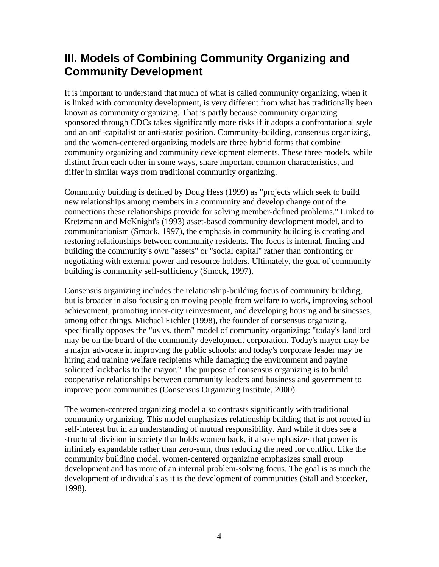# **III. Models of Combining Community Organizing and Community Development**

It is important to understand that much of what is called community organizing, when it is linked with community development, is very different from what has traditionally been known as community organizing. That is partly because community organizing sponsored through CDCs takes significantly more risks if it adopts a confrontational style and an anti-capitalist or anti-statist position. Community-building, consensus organizing, and the women-centered organizing models are three hybrid forms that combine community organizing and community development elements. These three models, while distinct from each other in some ways, share important common characteristics, and differ in similar ways from traditional community organizing.

Community building is defined by Doug Hess (1999) as "projects which seek to build new relationships among members in a community and develop change out of the connections these relationships provide for solving member-defined problems." Linked to Kretzmann and McKnight's (1993) asset-based community development model, and to communitarianism (Smock, 1997), the emphasis in community building is creating and restoring relationships between community residents. The focus is internal, finding and building the community's own "assets" or "social capital" rather than confronting or negotiating with external power and resource holders. Ultimately, the goal of community building is community self-sufficiency (Smock, 1997).

Consensus organizing includes the relationship-building focus of community building, but is broader in also focusing on moving people from welfare to work, improving school achievement, promoting inner-city reinvestment, and developing housing and businesses, among other things. Michael Eichler (1998), the founder of consensus organizing, specifically opposes the "us vs. them" model of community organizing: "today's landlord may be on the board of the community development corporation. Today's mayor may be a major advocate in improving the public schools; and today's corporate leader may be hiring and training welfare recipients while damaging the environment and paying solicited kickbacks to the mayor." The purpose of consensus organizing is to build cooperative relationships between community leaders and business and government to improve poor communities (Consensus Organizing Institute, 2000).

The women-centered organizing model also contrasts significantly with traditional community organizing. This model emphasizes relationship building that is not rooted in self-interest but in an understanding of mutual responsibility. And while it does see a structural division in society that holds women back, it also emphasizes that power is infinitely expandable rather than zero-sum, thus reducing the need for conflict. Like the community building model, women-centered organizing emphasizes small group development and has more of an internal problem-solving focus. The goal is as much the development of individuals as it is the development of communities (Stall and Stoecker, 1998).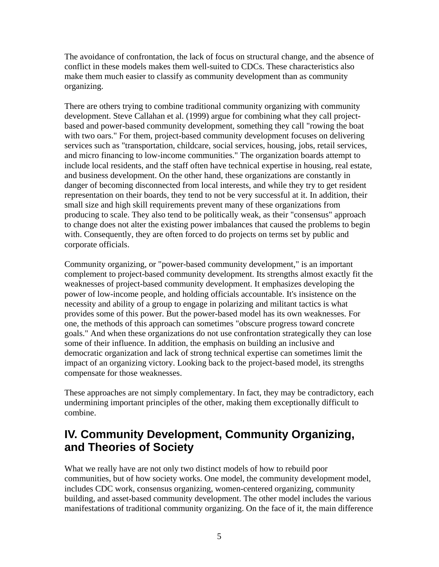The avoidance of confrontation, the lack of focus on structural change, and the absence of conflict in these models makes them well-suited to CDCs. These characteristics also make them much easier to classify as community development than as community organizing.

There are others trying to combine traditional community organizing with community development. Steve Callahan et al. (1999) argue for combining what they call projectbased and power-based community development, something they call "rowing the boat with two oars." For them, project-based community development focuses on delivering services such as "transportation, childcare, social services, housing, jobs, retail services, and micro financing to low-income communities." The organization boards attempt to include local residents, and the staff often have technical expertise in housing, real estate, and business development. On the other hand, these organizations are constantly in danger of becoming disconnected from local interests, and while they try to get resident representation on their boards, they tend to not be very successful at it. In addition, their small size and high skill requirements prevent many of these organizations from producing to scale. They also tend to be politically weak, as their "consensus" approach to change does not alter the existing power imbalances that caused the problems to begin with. Consequently, they are often forced to do projects on terms set by public and corporate officials.

Community organizing, or "power-based community development," is an important complement to project-based community development. Its strengths almost exactly fit the weaknesses of project-based community development. It emphasizes developing the power of low-income people, and holding officials accountable. It's insistence on the necessity and ability of a group to engage in polarizing and militant tactics is what provides some of this power. But the power-based model has its own weaknesses. For one, the methods of this approach can sometimes "obscure progress toward concrete goals." And when these organizations do not use confrontation strategically they can lose some of their influence. In addition, the emphasis on building an inclusive and democratic organization and lack of strong technical expertise can sometimes limit the impact of an organizing victory. Looking back to the project-based model, its strengths compensate for those weaknesses.

These approaches are not simply complementary. In fact, they may be contradictory, each undermining important principles of the other, making them exceptionally difficult to combine.

# **IV. Community Development, Community Organizing, and Theories of Society**

What we really have are not only two distinct models of how to rebuild poor communities, but of how society works. One model, the community development model, includes CDC work, consensus organizing, women-centered organizing, community building, and asset-based community development. The other model includes the various manifestations of traditional community organizing. On the face of it, the main difference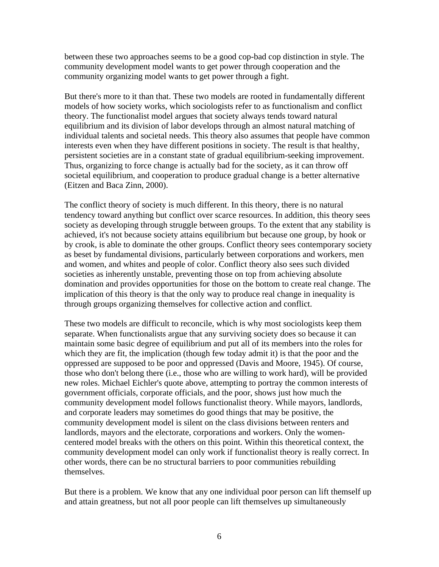between these two approaches seems to be a good cop-bad cop distinction in style. The community development model wants to get power through cooperation and the community organizing model wants to get power through a fight.

But there's more to it than that. These two models are rooted in fundamentally different models of how society works, which sociologists refer to as functionalism and conflict theory. The functionalist model argues that society always tends toward natural equilibrium and its division of labor develops through an almost natural matching of individual talents and societal needs. This theory also assumes that people have common interests even when they have different positions in society. The result is that healthy, persistent societies are in a constant state of gradual equilibrium-seeking improvement. Thus, organizing to force change is actually bad for the society, as it can throw off societal equilibrium, and cooperation to produce gradual change is a better alternative (Eitzen and Baca Zinn, 2000).

The conflict theory of society is much different. In this theory, there is no natural tendency toward anything but conflict over scarce resources. In addition, this theory sees society as developing through struggle between groups. To the extent that any stability is achieved, it's not because society attains equilibrium but because one group, by hook or by crook, is able to dominate the other groups. Conflict theory sees contemporary society as beset by fundamental divisions, particularly between corporations and workers, men and women, and whites and people of color. Conflict theory also sees such divided societies as inherently unstable, preventing those on top from achieving absolute domination and provides opportunities for those on the bottom to create real change. The implication of this theory is that the only way to produce real change in inequality is through groups organizing themselves for collective action and conflict.

These two models are difficult to reconcile, which is why most sociologists keep them separate. When functionalists argue that any surviving society does so because it can maintain some basic degree of equilibrium and put all of its members into the roles for which they are fit, the implication (though few today admit it) is that the poor and the oppressed are supposed to be poor and oppressed (Davis and Moore, 1945). Of course, those who don't belong there (i.e., those who are willing to work hard), will be provided new roles. Michael Eichler's quote above, attempting to portray the common interests of government officials, corporate officials, and the poor, shows just how much the community development model follows functionalist theory. While mayors, landlords, and corporate leaders may sometimes do good things that may be positive, the community development model is silent on the class divisions between renters and landlords, mayors and the electorate, corporations and workers. Only the womencentered model breaks with the others on this point. Within this theoretical context, the community development model can only work if functionalist theory is really correct. In other words, there can be no structural barriers to poor communities rebuilding themselves.

But there is a problem. We know that any one individual poor person can lift themself up and attain greatness, but not all poor people can lift themselves up simultaneously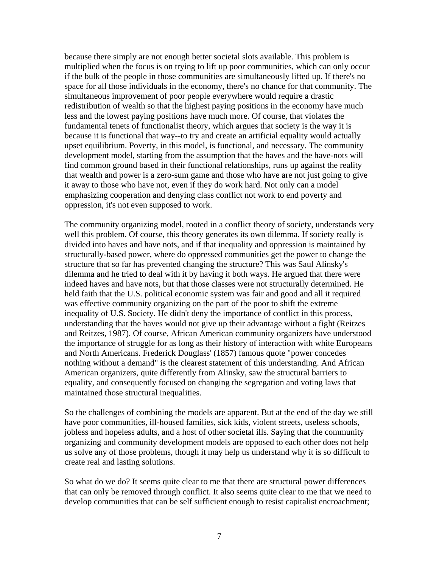because there simply are not enough better societal slots available. This problem is multiplied when the focus is on trying to lift up poor communities, which can only occur if the bulk of the people in those communities are simultaneously lifted up. If there's no space for all those individuals in the economy, there's no chance for that community. The simultaneous improvement of poor people everywhere would require a drastic redistribution of wealth so that the highest paying positions in the economy have much less and the lowest paying positions have much more. Of course, that violates the fundamental tenets of functionalist theory, which argues that society is the way it is because it is functional that way--to try and create an artificial equality would actually upset equilibrium. Poverty, in this model, is functional, and necessary. The community development model, starting from the assumption that the haves and the have-nots will find common ground based in their functional relationships, runs up against the reality that wealth and power is a zero-sum game and those who have are not just going to give it away to those who have not, even if they do work hard. Not only can a model emphasizing cooperation and denying class conflict not work to end poverty and oppression, it's not even supposed to work.

The community organizing model, rooted in a conflict theory of society, understands very well this problem. Of course, this theory generates its own dilemma. If society really is divided into haves and have nots, and if that inequality and oppression is maintained by structurally-based power, where do oppressed communities get the power to change the structure that so far has prevented changing the structure? This was Saul Alinsky's dilemma and he tried to deal with it by having it both ways. He argued that there were indeed haves and have nots, but that those classes were not structurally determined. He held faith that the U.S. political economic system was fair and good and all it required was effective community organizing on the part of the poor to shift the extreme inequality of U.S. Society. He didn't deny the importance of conflict in this process, understanding that the haves would not give up their advantage without a fight (Reitzes and Reitzes, 1987). Of course, African American community organizers have understood the importance of struggle for as long as their history of interaction with white Europeans and North Americans. Frederick Douglass' (1857) famous quote "power concedes nothing without a demand" is the clearest statement of this understanding. And African American organizers, quite differently from Alinsky, saw the structural barriers to equality, and consequently focused on changing the segregation and voting laws that maintained those structural inequalities.

So the challenges of combining the models are apparent. But at the end of the day we still have poor communities, ill-housed families, sick kids, violent streets, useless schools, jobless and hopeless adults, and a host of other societal ills. Saying that the community organizing and community development models are opposed to each other does not help us solve any of those problems, though it may help us understand why it is so difficult to create real and lasting solutions.

So what do we do? It seems quite clear to me that there are structural power differences that can only be removed through conflict. It also seems quite clear to me that we need to develop communities that can be self sufficient enough to resist capitalist encroachment;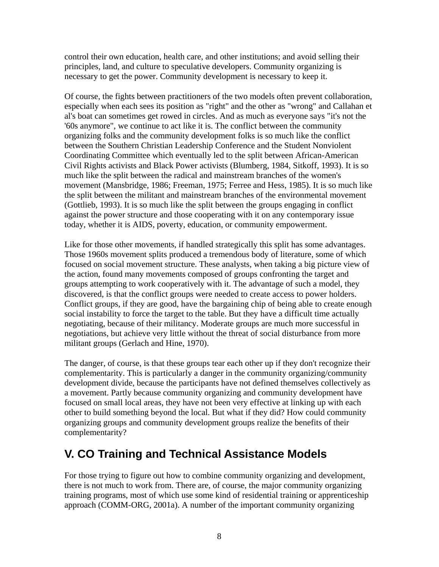control their own education, health care, and other institutions; and avoid selling their principles, land, and culture to speculative developers. Community organizing is necessary to get the power. Community development is necessary to keep it.

Of course, the fights between practitioners of the two models often prevent collaboration, especially when each sees its position as "right" and the other as "wrong" and Callahan et al's boat can sometimes get rowed in circles. And as much as everyone says "it's not the '60s anymore", we continue to act like it is. The conflict between the community organizing folks and the community development folks is so much like the conflict between the Southern Christian Leadership Conference and the Student Nonviolent Coordinating Committee which eventually led to the split between African-American Civil Rights activists and Black Power activists (Blumberg, 1984, Sitkoff, 1993). It is so much like the split between the radical and mainstream branches of the women's movement (Mansbridge, 1986; Freeman, 1975; Ferree and Hess, 1985). It is so much like the split between the militant and mainstream branches of the environmental movement (Gottlieb, 1993). It is so much like the split between the groups engaging in conflict against the power structure and those cooperating with it on any contemporary issue today, whether it is AIDS, poverty, education, or community empowerment.

Like for those other movements, if handled strategically this split has some advantages. Those 1960s movement splits produced a tremendous body of literature, some of which focused on social movement structure. These analysts, when taking a big picture view of the action, found many movements composed of groups confronting the target and groups attempting to work cooperatively with it. The advantage of such a model, they discovered, is that the conflict groups were needed to create access to power holders. Conflict groups, if they are good, have the bargaining chip of being able to create enough social instability to force the target to the table. But they have a difficult time actually negotiating, because of their militancy. Moderate groups are much more successful in negotiations, but achieve very little without the threat of social disturbance from more militant groups (Gerlach and Hine, 1970).

The danger, of course, is that these groups tear each other up if they don't recognize their complementarity. This is particularly a danger in the community organizing/community development divide, because the participants have not defined themselves collectively as a movement. Partly because community organizing and community development have focused on small local areas, they have not been very effective at linking up with each other to build something beyond the local. But what if they did? How could community organizing groups and community development groups realize the benefits of their complementarity?

## **V. CO Training and Technical Assistance Models**

For those trying to figure out how to combine community organizing and development, there is not much to work from. There are, of course, the major community organizing training programs, most of which use some kind of residential training or apprenticeship approach (COMM-ORG, 2001a). A number of the important community organizing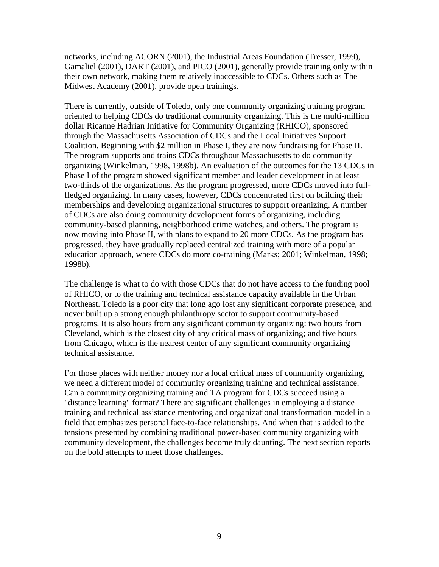networks, including ACORN (2001), the Industrial Areas Foundation (Tresser, 1999), Gamaliel (2001), DART (2001), and PICO (2001), generally provide training only within their own network, making them relatively inaccessible to CDCs. Others such as The Midwest Academy (2001), provide open trainings.

There is currently, outside of Toledo, only one community organizing training program oriented to helping CDCs do traditional community organizing. This is the multi-million dollar Ricanne Hadrian Initiative for Community Organizing (RHICO), sponsored through the Massachusetts Association of CDCs and the Local Initiatives Support Coalition. Beginning with \$2 million in Phase I, they are now fundraising for Phase II. The program supports and trains CDCs throughout Massachusetts to do community organizing (Winkelman, 1998, 1998b). An evaluation of the outcomes for the 13 CDCs in Phase I of the program showed significant member and leader development in at least two-thirds of the organizations. As the program progressed, more CDCs moved into fullfledged organizing. In many cases, however, CDCs concentrated first on building their memberships and developing organizational structures to support organizing. A number of CDCs are also doing community development forms of organizing, including community-based planning, neighborhood crime watches, and others. The program is now moving into Phase II, with plans to expand to 20 more CDCs. As the program has progressed, they have gradually replaced centralized training with more of a popular education approach, where CDCs do more co-training (Marks; 2001; Winkelman, 1998; 1998b).

The challenge is what to do with those CDCs that do not have access to the funding pool of RHICO, or to the training and technical assistance capacity available in the Urban Northeast. Toledo is a poor city that long ago lost any significant corporate presence, and never built up a strong enough philanthropy sector to support community-based programs. It is also hours from any significant community organizing: two hours from Cleveland, which is the closest city of any critical mass of organizing; and five hours from Chicago, which is the nearest center of any significant community organizing technical assistance.

For those places with neither money nor a local critical mass of community organizing, we need a different model of community organizing training and technical assistance. Can a community organizing training and TA program for CDCs succeed using a "distance learning" format? There are significant challenges in employing a distance training and technical assistance mentoring and organizational transformation model in a field that emphasizes personal face-to-face relationships. And when that is added to the tensions presented by combining traditional power-based community organizing with community development, the challenges become truly daunting. The next section reports on the bold attempts to meet those challenges.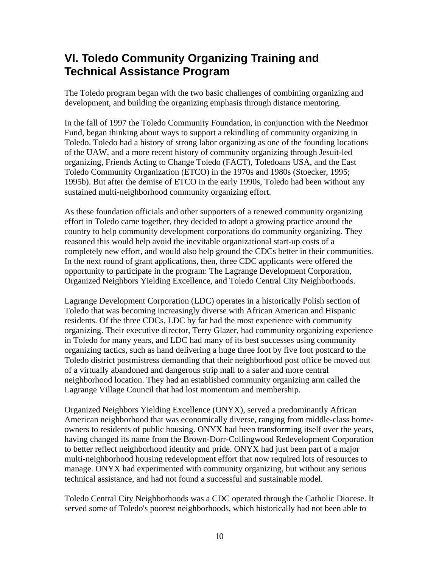# **VI. Toledo Community Organizing Training and Technical Assistance Program**

The Toledo program began with the two basic challenges of combining organizing and development, and building the organizing emphasis through distance mentoring.

In the fall of 1997 the Toledo Community Foundation, in conjunction with the Needmor Fund, began thinking about ways to support a rekindling of community organizing in Toledo. Toledo had a history of strong labor organizing as one of the founding locations of the UAW, and a more recent history of community organizing through Jesuit-led organizing, Friends Acting to Change Toledo (FACT), Toledoans USA, and the East Toledo Community Organization (ETCO) in the 1970s and 1980s (Stoecker, 1995; 1995b). But after the demise of ETCO in the early 1990s, Toledo had been without any sustained multi-neighborhood community organizing effort.

As these foundation officials and other supporters of a renewed community organizing effort in Toledo came together, they decided to adopt a growing practice around the country to help community development corporations do community organizing. They reasoned this would help avoid the inevitable organizational start-up costs of a completely new effort, and would also help ground the CDCs better in their communities. In the next round of grant applications, then, three CDC applicants were offered the opportunity to participate in the program: The Lagrange Development Corporation, Organized Neighbors Yielding Excellence, and Toledo Central City Neighborhoods.

Lagrange Development Corporation (LDC) operates in a historically Polish section of Toledo that was becoming increasingly diverse with African American and Hispanic residents. Of the three CDCs, LDC by far had the most experience with community organizing. Their executive director, Terry Glazer, had community organizing experience in Toledo for many years, and LDC had many of its best successes using community organizing tactics, such as hand delivering a huge three foot by five foot postcard to the Toledo district postmistress demanding that their neighborhood post office be moved out of a virtually abandoned and dangerous strip mall to a safer and more central neighborhood location. They had an established community organizing arm called the Lagrange Village Council that had lost momentum and membership.

Organized Neighbors Yielding Excellence (ONYX), served a predominantly African American neighborhood that was economically diverse, ranging from middle-class homeowners to residents of public housing. ONYX had been transforming itself over the years, having changed its name from the Brown-Dorr-Collingwood Redevelopment Corporation to better reflect neighborhood identity and pride. ONYX had just been part of a major multi-neighborhood housing redevelopment effort that now required lots of resources to manage. ONYX had experimented with community organizing, but without any serious technical assistance, and had not found a successful and sustainable model.

Toledo Central City Neighborhoods was a CDC operated through the Catholic Diocese. It served some of Toledo's poorest neighborhoods, which historically had not been able to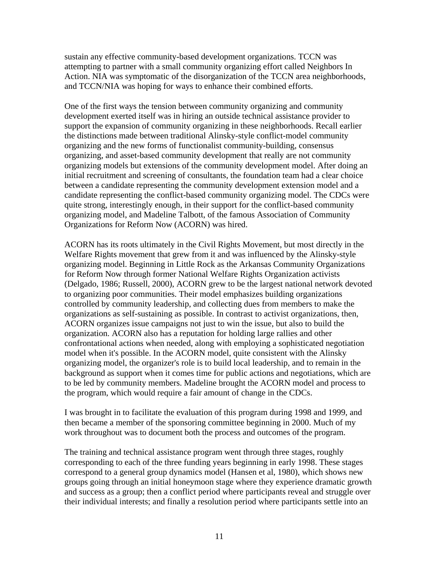sustain any effective community-based development organizations. TCCN was attempting to partner with a small community organizing effort called Neighbors In Action. NIA was symptomatic of the disorganization of the TCCN area neighborhoods, and TCCN/NIA was hoping for ways to enhance their combined efforts.

One of the first ways the tension between community organizing and community development exerted itself was in hiring an outside technical assistance provider to support the expansion of community organizing in these neighborhoods. Recall earlier the distinctions made between traditional Alinsky-style conflict-model community organizing and the new forms of functionalist community-building, consensus organizing, and asset-based community development that really are not community organizing models but extensions of the community development model. After doing an initial recruitment and screening of consultants, the foundation team had a clear choice between a candidate representing the community development extension model and a candidate representing the conflict-based community organizing model. The CDCs were quite strong, interestingly enough, in their support for the conflict-based community organizing model, and Madeline Talbott, of the famous Association of Community Organizations for Reform Now (ACORN) was hired.

ACORN has its roots ultimately in the Civil Rights Movement, but most directly in the Welfare Rights movement that grew from it and was influenced by the Alinsky-style organizing model. Beginning in Little Rock as the Arkansas Community Organizations for Reform Now through former National Welfare Rights Organization activists (Delgado, 1986; Russell, 2000), ACORN grew to be the largest national network devoted to organizing poor communities. Their model emphasizes building organizations controlled by community leadership, and collecting dues from members to make the organizations as self-sustaining as possible. In contrast to activist organizations, then, ACORN organizes issue campaigns not just to win the issue, but also to build the organization. ACORN also has a reputation for holding large rallies and other confrontational actions when needed, along with employing a sophisticated negotiation model when it's possible. In the ACORN model, quite consistent with the Alinsky organizing model, the organizer's role is to build local leadership, and to remain in the background as support when it comes time for public actions and negotiations, which are to be led by community members. Madeline brought the ACORN model and process to the program, which would require a fair amount of change in the CDCs.

I was brought in to facilitate the evaluation of this program during 1998 and 1999, and then became a member of the sponsoring committee beginning in 2000. Much of my work throughout was to document both the process and outcomes of the program.

The training and technical assistance program went through three stages, roughly corresponding to each of the three funding years beginning in early 1998. These stages correspond to a general group dynamics model (Hansen et al, 1980), which shows new groups going through an initial honeymoon stage where they experience dramatic growth and success as a group; then a conflict period where participants reveal and struggle over their individual interests; and finally a resolution period where participants settle into an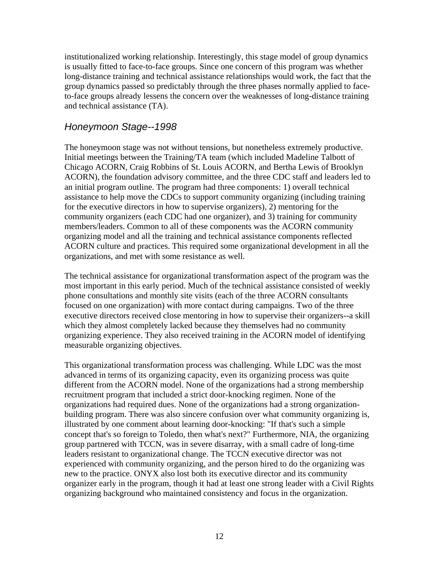institutionalized working relationship. Interestingly, this stage model of group dynamics is usually fitted to face-to-face groups. Since one concern of this program was whether long-distance training and technical assistance relationships would work, the fact that the group dynamics passed so predictably through the three phases normally applied to faceto-face groups already lessens the concern over the weaknesses of long-distance training and technical assistance (TA).

#### Honeymoon Stage--1998

The honeymoon stage was not without tensions, but nonetheless extremely productive. Initial meetings between the Training/TA team (which included Madeline Talbott of Chicago ACORN, Craig Robbins of St. Louis ACORN, and Bertha Lewis of Brooklyn ACORN), the foundation advisory committee, and the three CDC staff and leaders led to an initial program outline. The program had three components: 1) overall technical assistance to help move the CDCs to support community organizing (including training for the executive directors in how to supervise organizers), 2) mentoring for the community organizers (each CDC had one organizer), and 3) training for community members/leaders. Common to all of these components was the ACORN community organizing model and all the training and technical assistance components reflected ACORN culture and practices. This required some organizational development in all the organizations, and met with some resistance as well.

The technical assistance for organizational transformation aspect of the program was the most important in this early period. Much of the technical assistance consisted of weekly phone consultations and monthly site visits (each of the three ACORN consultants focused on one organization) with more contact during campaigns. Two of the three executive directors received close mentoring in how to supervise their organizers--a skill which they almost completely lacked because they themselves had no community organizing experience. They also received training in the ACORN model of identifying measurable organizing objectives.

This organizational transformation process was challenging. While LDC was the most advanced in terms of its organizing capacity, even its organizing process was quite different from the ACORN model. None of the organizations had a strong membership recruitment program that included a strict door-knocking regimen. None of the organizations had required dues. None of the organizations had a strong organizationbuilding program. There was also sincere confusion over what community organizing is, illustrated by one comment about learning door-knocking: "If that's such a simple concept that's so foreign to Toledo, then what's next?" Furthermore, NIA, the organizing group partnered with TCCN, was in severe disarray, with a small cadre of long-time leaders resistant to organizational change. The TCCN executive director was not experienced with community organizing, and the person hired to do the organizing was new to the practice. ONYX also lost both its executive director and its community organizer early in the program, though it had at least one strong leader with a Civil Rights organizing background who maintained consistency and focus in the organization.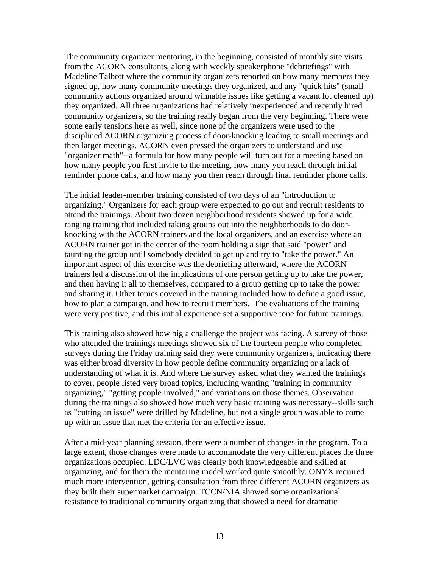The community organizer mentoring, in the beginning, consisted of monthly site visits from the ACORN consultants, along with weekly speakerphone "debriefings" with Madeline Talbott where the community organizers reported on how many members they signed up, how many community meetings they organized, and any "quick hits" (small community actions organized around winnable issues like getting a vacant lot cleaned up) they organized. All three organizations had relatively inexperienced and recently hired community organizers, so the training really began from the very beginning. There were some early tensions here as well, since none of the organizers were used to the disciplined ACORN organizing process of door-knocking leading to small meetings and then larger meetings. ACORN even pressed the organizers to understand and use "organizer math"--a formula for how many people will turn out for a meeting based on how many people you first invite to the meeting, how many you reach through initial reminder phone calls, and how many you then reach through final reminder phone calls.

The initial leader-member training consisted of two days of an "introduction to organizing." Organizers for each group were expected to go out and recruit residents to attend the trainings. About two dozen neighborhood residents showed up for a wide ranging training that included taking groups out into the neighborhoods to do doorknocking with the ACORN trainers and the local organizers, and an exercise where an ACORN trainer got in the center of the room holding a sign that said "power" and taunting the group until somebody decided to get up and try to "take the power." An important aspect of this exercise was the debriefing afterward, where the ACORN trainers led a discussion of the implications of one person getting up to take the power, and then having it all to themselves, compared to a group getting up to take the power and sharing it. Other topics covered in the training included how to define a good issue, how to plan a campaign, and how to recruit members. The evaluations of the training were very positive, and this initial experience set a supportive tone for future trainings.

This training also showed how big a challenge the project was facing. A survey of those who attended the trainings meetings showed six of the fourteen people who completed surveys during the Friday training said they were community organizers, indicating there was either broad diversity in how people define community organizing or a lack of understanding of what it is. And where the survey asked what they wanted the trainings to cover, people listed very broad topics, including wanting "training in community organizing," "getting people involved," and variations on those themes. Observation during the trainings also showed how much very basic training was necessary--skills such as "cutting an issue" were drilled by Madeline, but not a single group was able to come up with an issue that met the criteria for an effective issue.

After a mid-year planning session, there were a number of changes in the program. To a large extent, those changes were made to accommodate the very different places the three organizations occupied. LDC/LVC was clearly both knowledgeable and skilled at organizing, and for them the mentoring model worked quite smoothly. ONYX required much more intervention, getting consultation from three different ACORN organizers as they built their supermarket campaign. TCCN/NIA showed some organizational resistance to traditional community organizing that showed a need for dramatic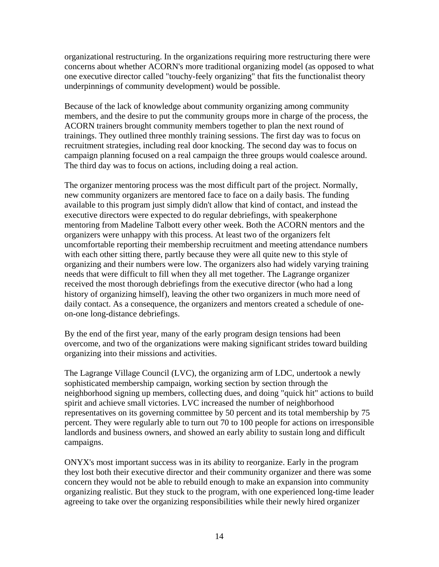organizational restructuring. In the organizations requiring more restructuring there were concerns about whether ACORN's more traditional organizing model (as opposed to what one executive director called "touchy-feely organizing" that fits the functionalist theory underpinnings of community development) would be possible.

Because of the lack of knowledge about community organizing among community members, and the desire to put the community groups more in charge of the process, the ACORN trainers brought community members together to plan the next round of trainings. They outlined three monthly training sessions. The first day was to focus on recruitment strategies, including real door knocking. The second day was to focus on campaign planning focused on a real campaign the three groups would coalesce around. The third day was to focus on actions, including doing a real action.

The organizer mentoring process was the most difficult part of the project. Normally, new community organizers are mentored face to face on a daily basis. The funding available to this program just simply didn't allow that kind of contact, and instead the executive directors were expected to do regular debriefings, with speakerphone mentoring from Madeline Talbott every other week. Both the ACORN mentors and the organizers were unhappy with this process. At least two of the organizers felt uncomfortable reporting their membership recruitment and meeting attendance numbers with each other sitting there, partly because they were all quite new to this style of organizing and their numbers were low. The organizers also had widely varying training needs that were difficult to fill when they all met together. The Lagrange organizer received the most thorough debriefings from the executive director (who had a long history of organizing himself), leaving the other two organizers in much more need of daily contact. As a consequence, the organizers and mentors created a schedule of oneon-one long-distance debriefings.

By the end of the first year, many of the early program design tensions had been overcome, and two of the organizations were making significant strides toward building organizing into their missions and activities.

The Lagrange Village Council (LVC), the organizing arm of LDC, undertook a newly sophisticated membership campaign, working section by section through the neighborhood signing up members, collecting dues, and doing "quick hit" actions to build spirit and achieve small victories. LVC increased the number of neighborhood representatives on its governing committee by 50 percent and its total membership by 75 percent. They were regularly able to turn out 70 to 100 people for actions on irresponsible landlords and business owners, and showed an early ability to sustain long and difficult campaigns.

ONYX's most important success was in its ability to reorganize. Early in the program they lost both their executive director and their community organizer and there was some concern they would not be able to rebuild enough to make an expansion into community organizing realistic. But they stuck to the program, with one experienced long-time leader agreeing to take over the organizing responsibilities while their newly hired organizer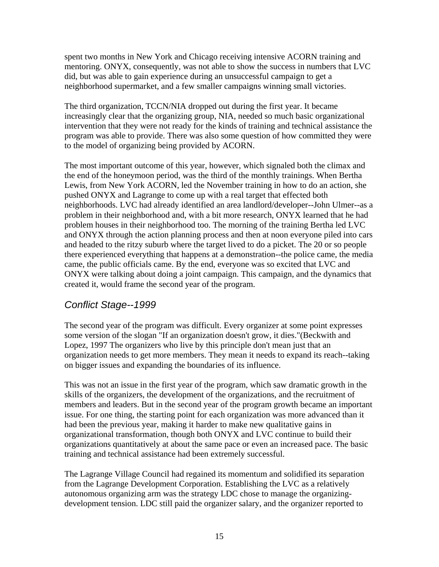spent two months in New York and Chicago receiving intensive ACORN training and mentoring. ONYX, consequently, was not able to show the success in numbers that LVC did, but was able to gain experience during an unsuccessful campaign to get a neighborhood supermarket, and a few smaller campaigns winning small victories.

The third organization, TCCN/NIA dropped out during the first year. It became increasingly clear that the organizing group, NIA, needed so much basic organizational intervention that they were not ready for the kinds of training and technical assistance the program was able to provide. There was also some question of how committed they were to the model of organizing being provided by ACORN.

The most important outcome of this year, however, which signaled both the climax and the end of the honeymoon period, was the third of the monthly trainings. When Bertha Lewis, from New York ACORN, led the November training in how to do an action, she pushed ONYX and Lagrange to come up with a real target that effected both neighborhoods. LVC had already identified an area landlord/developer--John Ulmer--as a problem in their neighborhood and, with a bit more research, ONYX learned that he had problem houses in their neighborhood too. The morning of the training Bertha led LVC and ONYX through the action planning process and then at noon everyone piled into cars and headed to the ritzy suburb where the target lived to do a picket. The 20 or so people there experienced everything that happens at a demonstration--the police came, the media came, the public officials came. By the end, everyone was so excited that LVC and ONYX were talking about doing a joint campaign. This campaign, and the dynamics that created it, would frame the second year of the program.

#### Conflict Stage--1999

The second year of the program was difficult. Every organizer at some point expresses some version of the slogan "If an organization doesn't grow, it dies."(Beckwith and Lopez, 1997 The organizers who live by this principle don't mean just that an organization needs to get more members. They mean it needs to expand its reach--taking on bigger issues and expanding the boundaries of its influence.

This was not an issue in the first year of the program, which saw dramatic growth in the skills of the organizers, the development of the organizations, and the recruitment of members and leaders. But in the second year of the program growth became an important issue. For one thing, the starting point for each organization was more advanced than it had been the previous year, making it harder to make new qualitative gains in organizational transformation, though both ONYX and LVC continue to build their organizations quantitatively at about the same pace or even an increased pace. The basic training and technical assistance had been extremely successful.

The Lagrange Village Council had regained its momentum and solidified its separation from the Lagrange Development Corporation. Establishing the LVC as a relatively autonomous organizing arm was the strategy LDC chose to manage the organizingdevelopment tension. LDC still paid the organizer salary, and the organizer reported to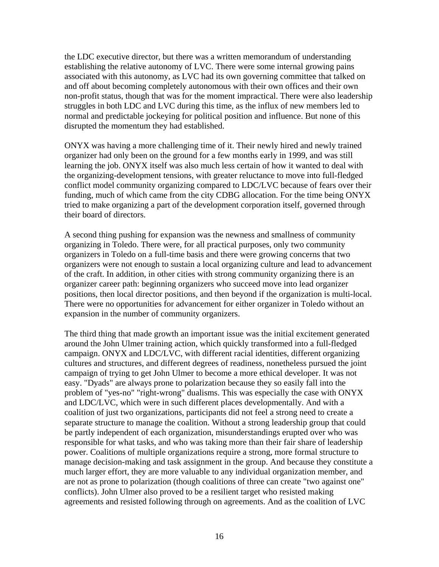the LDC executive director, but there was a written memorandum of understanding establishing the relative autonomy of LVC. There were some internal growing pains associated with this autonomy, as LVC had its own governing committee that talked on and off about becoming completely autonomous with their own offices and their own non-profit status, though that was for the moment impractical. There were also leadership struggles in both LDC and LVC during this time, as the influx of new members led to normal and predictable jockeying for political position and influence. But none of this disrupted the momentum they had established.

ONYX was having a more challenging time of it. Their newly hired and newly trained organizer had only been on the ground for a few months early in 1999, and was still learning the job. ONYX itself was also much less certain of how it wanted to deal with the organizing-development tensions, with greater reluctance to move into full-fledged conflict model community organizing compared to LDC/LVC because of fears over their funding, much of which came from the city CDBG allocation. For the time being ONYX tried to make organizing a part of the development corporation itself, governed through their board of directors.

A second thing pushing for expansion was the newness and smallness of community organizing in Toledo. There were, for all practical purposes, only two community organizers in Toledo on a full-time basis and there were growing concerns that two organizers were not enough to sustain a local organizing culture and lead to advancement of the craft. In addition, in other cities with strong community organizing there is an organizer career path: beginning organizers who succeed move into lead organizer positions, then local director positions, and then beyond if the organization is multi-local. There were no opportunities for advancement for either organizer in Toledo without an expansion in the number of community organizers.

The third thing that made growth an important issue was the initial excitement generated around the John Ulmer training action, which quickly transformed into a full-fledged campaign. ONYX and LDC/LVC, with different racial identities, different organizing cultures and structures, and different degrees of readiness, nonetheless pursued the joint campaign of trying to get John Ulmer to become a more ethical developer. It was not easy. "Dyads" are always prone to polarization because they so easily fall into the problem of "yes-no" "right-wrong" dualisms. This was especially the case with ONYX and LDC/LVC, which were in such different places developmentally. And with a coalition of just two organizations, participants did not feel a strong need to create a separate structure to manage the coalition. Without a strong leadership group that could be partly independent of each organization, misunderstandings erupted over who was responsible for what tasks, and who was taking more than their fair share of leadership power. Coalitions of multiple organizations require a strong, more formal structure to manage decision-making and task assignment in the group. And because they constitute a much larger effort, they are more valuable to any individual organization member, and are not as prone to polarization (though coalitions of three can create "two against one" conflicts). John Ulmer also proved to be a resilient target who resisted making agreements and resisted following through on agreements. And as the coalition of LVC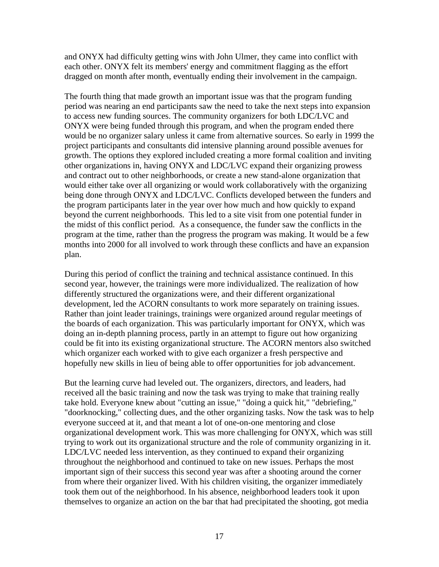and ONYX had difficulty getting wins with John Ulmer, they came into conflict with each other. ONYX felt its members' energy and commitment flagging as the effort dragged on month after month, eventually ending their involvement in the campaign.

The fourth thing that made growth an important issue was that the program funding period was nearing an end participants saw the need to take the next steps into expansion to access new funding sources. The community organizers for both LDC/LVC and ONYX were being funded through this program, and when the program ended there would be no organizer salary unless it came from alternative sources. So early in 1999 the project participants and consultants did intensive planning around possible avenues for growth. The options they explored included creating a more formal coalition and inviting other organizations in, having ONYX and LDC/LVC expand their organizing prowess and contract out to other neighborhoods, or create a new stand-alone organization that would either take over all organizing or would work collaboratively with the organizing being done through ONYX and LDC/LVC. Conflicts developed between the funders and the program participants later in the year over how much and how quickly to expand beyond the current neighborhoods. This led to a site visit from one potential funder in the midst of this conflict period. As a consequence, the funder saw the conflicts in the program at the time, rather than the progress the program was making. It would be a few months into 2000 for all involved to work through these conflicts and have an expansion plan.

During this period of conflict the training and technical assistance continued. In this second year, however, the trainings were more individualized. The realization of how differently structured the organizations were, and their different organizational development, led the ACORN consultants to work more separately on training issues. Rather than joint leader trainings, trainings were organized around regular meetings of the boards of each organization. This was particularly important for ONYX, which was doing an in-depth planning process, partly in an attempt to figure out how organizing could be fit into its existing organizational structure. The ACORN mentors also switched which organizer each worked with to give each organizer a fresh perspective and hopefully new skills in lieu of being able to offer opportunities for job advancement.

But the learning curve had leveled out. The organizers, directors, and leaders, had received all the basic training and now the task was trying to make that training really take hold. Everyone knew about "cutting an issue," "doing a quick hit," "debriefing," "doorknocking," collecting dues, and the other organizing tasks. Now the task was to help everyone succeed at it, and that meant a lot of one-on-one mentoring and close organizational development work. This was more challenging for ONYX, which was still trying to work out its organizational structure and the role of community organizing in it. LDC/LVC needed less intervention, as they continued to expand their organizing throughout the neighborhood and continued to take on new issues. Perhaps the most important sign of their success this second year was after a shooting around the corner from where their organizer lived. With his children visiting, the organizer immediately took them out of the neighborhood. In his absence, neighborhood leaders took it upon themselves to organize an action on the bar that had precipitated the shooting, got media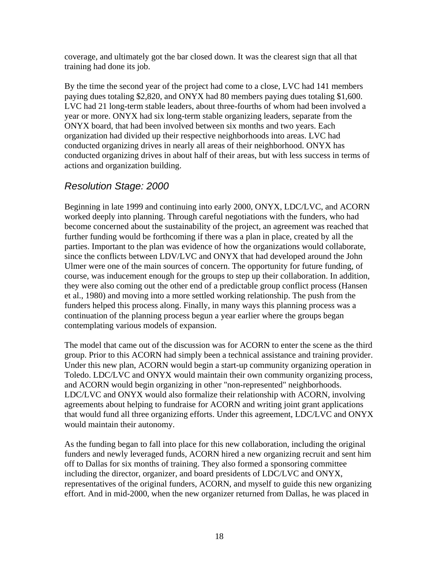coverage, and ultimately got the bar closed down. It was the clearest sign that all that training had done its job.

By the time the second year of the project had come to a close, LVC had 141 members paying dues totaling \$2,820, and ONYX had 80 members paying dues totaling \$1,600. LVC had 21 long-term stable leaders, about three-fourths of whom had been involved a year or more. ONYX had six long-term stable organizing leaders, separate from the ONYX board, that had been involved between six months and two years. Each organization had divided up their respective neighborhoods into areas. LVC had conducted organizing drives in nearly all areas of their neighborhood. ONYX has conducted organizing drives in about half of their areas, but with less success in terms of actions and organization building.

#### Resolution Stage: 2000

Beginning in late 1999 and continuing into early 2000, ONYX, LDC/LVC, and ACORN worked deeply into planning. Through careful negotiations with the funders, who had become concerned about the sustainability of the project, an agreement was reached that further funding would be forthcoming if there was a plan in place, created by all the parties. Important to the plan was evidence of how the organizations would collaborate, since the conflicts between LDV/LVC and ONYX that had developed around the John Ulmer were one of the main sources of concern. The opportunity for future funding, of course, was inducement enough for the groups to step up their collaboration. In addition, they were also coming out the other end of a predictable group conflict process (Hansen et al., 1980) and moving into a more settled working relationship. The push from the funders helped this process along. Finally, in many ways this planning process was a continuation of the planning process begun a year earlier where the groups began contemplating various models of expansion.

The model that came out of the discussion was for ACORN to enter the scene as the third group. Prior to this ACORN had simply been a technical assistance and training provider. Under this new plan, ACORN would begin a start-up community organizing operation in Toledo. LDC/LVC and ONYX would maintain their own community organizing process, and ACORN would begin organizing in other "non-represented" neighborhoods. LDC/LVC and ONYX would also formalize their relationship with ACORN, involving agreements about helping to fundraise for ACORN and writing joint grant applications that would fund all three organizing efforts. Under this agreement, LDC/LVC and ONYX would maintain their autonomy.

As the funding began to fall into place for this new collaboration, including the original funders and newly leveraged funds, ACORN hired a new organizing recruit and sent him off to Dallas for six months of training. They also formed a sponsoring committee including the director, organizer, and board presidents of LDC/LVC and ONYX, representatives of the original funders, ACORN, and myself to guide this new organizing effort. And in mid-2000, when the new organizer returned from Dallas, he was placed in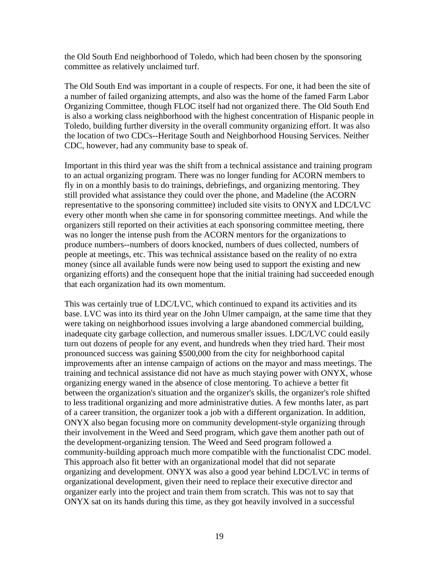the Old South End neighborhood of Toledo, which had been chosen by the sponsoring committee as relatively unclaimed turf.

The Old South End was important in a couple of respects. For one, it had been the site of a number of failed organizing attempts, and also was the home of the famed Farm Labor Organizing Committee, though FLOC itself had not organized there. The Old South End is also a working class neighborhood with the highest concentration of Hispanic people in Toledo, building further diversity in the overall community organizing effort. It was also the location of two CDCs--Heritage South and Neighborhood Housing Services. Neither CDC, however, had any community base to speak of.

Important in this third year was the shift from a technical assistance and training program to an actual organizing program. There was no longer funding for ACORN members to fly in on a monthly basis to do trainings, debriefings, and organizing mentoring. They still provided what assistance they could over the phone, and Madeline (the ACORN representative to the sponsoring committee) included site visits to ONYX and LDC/LVC every other month when she came in for sponsoring committee meetings. And while the organizers still reported on their activities at each sponsoring committee meeting, there was no longer the intense push from the ACORN mentors for the organizations to produce numbers--numbers of doors knocked, numbers of dues collected, numbers of people at meetings, etc. This was technical assistance based on the reality of no extra money (since all available funds were now being used to support the existing and new organizing efforts) and the consequent hope that the initial training had succeeded enough that each organization had its own momentum.

This was certainly true of LDC/LVC, which continued to expand its activities and its base. LVC was into its third year on the John Ulmer campaign, at the same time that they were taking on neighborhood issues involving a large abandoned commercial building, inadequate city garbage collection, and numerous smaller issues. LDC/LVC could easily turn out dozens of people for any event, and hundreds when they tried hard. Their most pronounced success was gaining \$500,000 from the city for neighborhood capital improvements after an intense campaign of actions on the mayor and mass meetings. The training and technical assistance did not have as much staying power with ONYX, whose organizing energy waned in the absence of close mentoring. To achieve a better fit between the organization's situation and the organizer's skills, the organizer's role shifted to less traditional organizing and more administrative duties. A few months later, as part of a career transition, the organizer took a job with a different organization. In addition, ONYX also began focusing more on community development-style organizing through their involvement in the Weed and Seed program, which gave them another path out of the development-organizing tension. The Weed and Seed program followed a community-building approach much more compatible with the functionalist CDC model. This approach also fit better with an organizational model that did not separate organizing and development. ONYX was also a good year behind LDC/LVC in terms of organizational development, given their need to replace their executive director and organizer early into the project and train them from scratch. This was not to say that ONYX sat on its hands during this time, as they got heavily involved in a successful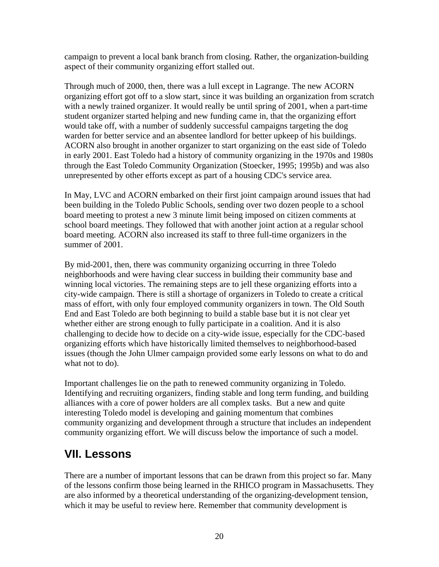campaign to prevent a local bank branch from closing. Rather, the organization-building aspect of their community organizing effort stalled out.

Through much of 2000, then, there was a lull except in Lagrange. The new ACORN organizing effort got off to a slow start, since it was building an organization from scratch with a newly trained organizer. It would really be until spring of 2001, when a part-time student organizer started helping and new funding came in, that the organizing effort would take off, with a number of suddenly successful campaigns targeting the dog warden for better service and an absentee landlord for better upkeep of his buildings. ACORN also brought in another organizer to start organizing on the east side of Toledo in early 2001. East Toledo had a history of community organizing in the 1970s and 1980s through the East Toledo Community Organization (Stoecker, 1995; 1995b) and was also unrepresented by other efforts except as part of a housing CDC's service area.

In May, LVC and ACORN embarked on their first joint campaign around issues that had been building in the Toledo Public Schools, sending over two dozen people to a school board meeting to protest a new 3 minute limit being imposed on citizen comments at school board meetings. They followed that with another joint action at a regular school board meeting. ACORN also increased its staff to three full-time organizers in the summer of 2001.

By mid-2001, then, there was community organizing occurring in three Toledo neighborhoods and were having clear success in building their community base and winning local victories. The remaining steps are to jell these organizing efforts into a city-wide campaign. There is still a shortage of organizers in Toledo to create a critical mass of effort, with only four employed community organizers in town. The Old South End and East Toledo are both beginning to build a stable base but it is not clear yet whether either are strong enough to fully participate in a coalition. And it is also challenging to decide how to decide on a city-wide issue, especially for the CDC-based organizing efforts which have historically limited themselves to neighborhood-based issues (though the John Ulmer campaign provided some early lessons on what to do and what not to do).

Important challenges lie on the path to renewed community organizing in Toledo. Identifying and recruiting organizers, finding stable and long term funding, and building alliances with a core of power holders are all complex tasks. But a new and quite interesting Toledo model is developing and gaining momentum that combines community organizing and development through a structure that includes an independent community organizing effort. We will discuss below the importance of such a model.

## **VII. Lessons**

There are a number of important lessons that can be drawn from this project so far. Many of the lessons confirm those being learned in the RHICO program in Massachusetts. They are also informed by a theoretical understanding of the organizing-development tension, which it may be useful to review here. Remember that community development is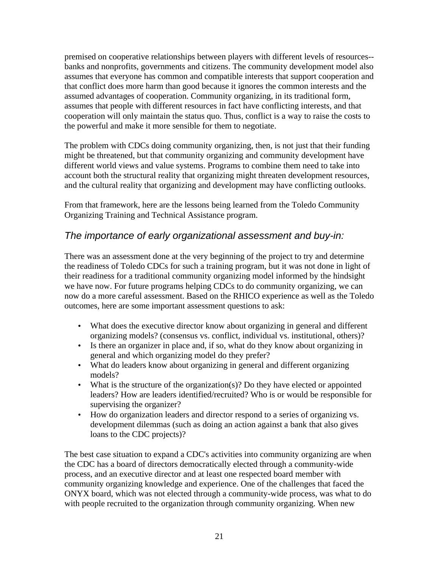premised on cooperative relationships between players with different levels of resources- banks and nonprofits, governments and citizens. The community development model also assumes that everyone has common and compatible interests that support cooperation and that conflict does more harm than good because it ignores the common interests and the assumed advantages of cooperation. Community organizing, in its traditional form, assumes that people with different resources in fact have conflicting interests, and that cooperation will only maintain the status quo. Thus, conflict is a way to raise the costs to the powerful and make it more sensible for them to negotiate.

The problem with CDCs doing community organizing, then, is not just that their funding might be threatened, but that community organizing and community development have different world views and value systems. Programs to combine them need to take into account both the structural reality that organizing might threaten development resources, and the cultural reality that organizing and development may have conflicting outlooks.

From that framework, here are the lessons being learned from the Toledo Community Organizing Training and Technical Assistance program.

#### The importance of early organizational assessment and buy-in:

There was an assessment done at the very beginning of the project to try and determine the readiness of Toledo CDCs for such a training program, but it was not done in light of their readiness for a traditional community organizing model informed by the hindsight we have now. For future programs helping CDCs to do community organizing, we can now do a more careful assessment. Based on the RHICO experience as well as the Toledo outcomes, here are some important assessment questions to ask:

- What does the executive director know about organizing in general and different organizing models? (consensus vs. conflict, individual vs. institutional, others)?
- Is there an organizer in place and, if so, what do they know about organizing in general and which organizing model do they prefer?
- What do leaders know about organizing in general and different organizing models?
- What is the structure of the organization(s)? Do they have elected or appointed leaders? How are leaders identified/recruited? Who is or would be responsible for supervising the organizer?
- How do organization leaders and director respond to a series of organizing vs. development dilemmas (such as doing an action against a bank that also gives loans to the CDC projects)?

The best case situation to expand a CDC's activities into community organizing are when the CDC has a board of directors democratically elected through a community-wide process, and an executive director and at least one respected board member with community organizing knowledge and experience. One of the challenges that faced the ONYX board, which was not elected through a community-wide process, was what to do with people recruited to the organization through community organizing. When new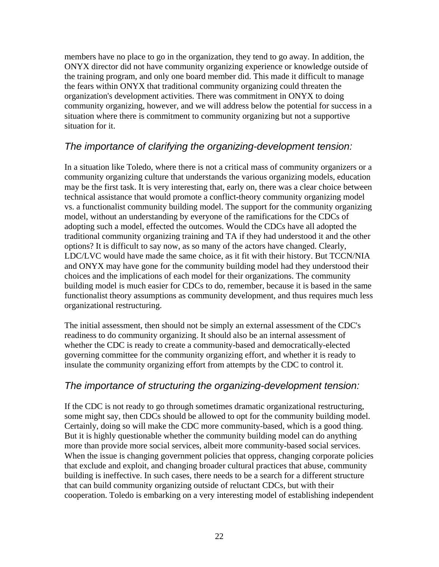members have no place to go in the organization, they tend to go away. In addition, the ONYX director did not have community organizing experience or knowledge outside of the training program, and only one board member did. This made it difficult to manage the fears within ONYX that traditional community organizing could threaten the organization's development activities. There was commitment in ONYX to doing community organizing, however, and we will address below the potential for success in a situation where there is commitment to community organizing but not a supportive situation for it.

#### The importance of clarifying the organizing-development tension:

In a situation like Toledo, where there is not a critical mass of community organizers or a community organizing culture that understands the various organizing models, education may be the first task. It is very interesting that, early on, there was a clear choice between technical assistance that would promote a conflict-theory community organizing model vs. a functionalist community building model. The support for the community organizing model, without an understanding by everyone of the ramifications for the CDCs of adopting such a model, effected the outcomes. Would the CDCs have all adopted the traditional community organizing training and TA if they had understood it and the other options? It is difficult to say now, as so many of the actors have changed. Clearly, LDC/LVC would have made the same choice, as it fit with their history. But TCCN/NIA and ONYX may have gone for the community building model had they understood their choices and the implications of each model for their organizations. The community building model is much easier for CDCs to do, remember, because it is based in the same functionalist theory assumptions as community development, and thus requires much less organizational restructuring.

The initial assessment, then should not be simply an external assessment of the CDC's readiness to do community organizing. It should also be an internal assessment of whether the CDC is ready to create a community-based and democratically-elected governing committee for the community organizing effort, and whether it is ready to insulate the community organizing effort from attempts by the CDC to control it.

#### The importance of structuring the organizing-development tension:

If the CDC is not ready to go through sometimes dramatic organizational restructuring, some might say, then CDCs should be allowed to opt for the community building model. Certainly, doing so will make the CDC more community-based, which is a good thing. But it is highly questionable whether the community building model can do anything more than provide more social services, albeit more community-based social services. When the issue is changing government policies that oppress, changing corporate policies that exclude and exploit, and changing broader cultural practices that abuse, community building is ineffective. In such cases, there needs to be a search for a different structure that can build community organizing outside of reluctant CDCs, but with their cooperation. Toledo is embarking on a very interesting model of establishing independent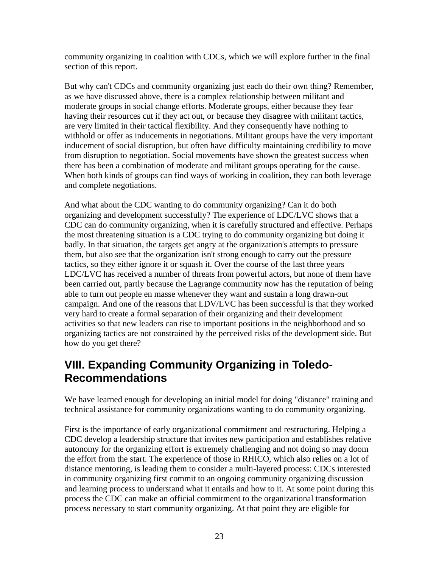community organizing in coalition with CDCs, which we will explore further in the final section of this report.

But why can't CDCs and community organizing just each do their own thing? Remember, as we have discussed above, there is a complex relationship between militant and moderate groups in social change efforts. Moderate groups, either because they fear having their resources cut if they act out, or because they disagree with militant tactics, are very limited in their tactical flexibility. And they consequently have nothing to withhold or offer as inducements in negotiations. Militant groups have the very important inducement of social disruption, but often have difficulty maintaining credibility to move from disruption to negotiation. Social movements have shown the greatest success when there has been a combination of moderate and militant groups operating for the cause. When both kinds of groups can find ways of working in coalition, they can both leverage and complete negotiations.

And what about the CDC wanting to do community organizing? Can it do both organizing and development successfully? The experience of LDC/LVC shows that a CDC can do community organizing, when it is carefully structured and effective. Perhaps the most threatening situation is a CDC trying to do community organizing but doing it badly. In that situation, the targets get angry at the organization's attempts to pressure them, but also see that the organization isn't strong enough to carry out the pressure tactics, so they either ignore it or squash it. Over the course of the last three years LDC/LVC has received a number of threats from powerful actors, but none of them have been carried out, partly because the Lagrange community now has the reputation of being able to turn out people en masse whenever they want and sustain a long drawn-out campaign. And one of the reasons that LDV/LVC has been successful is that they worked very hard to create a formal separation of their organizing and their development activities so that new leaders can rise to important positions in the neighborhood and so organizing tactics are not constrained by the perceived risks of the development side. But how do you get there?

# **VIII. Expanding Community Organizing in Toledo-Recommendations**

We have learned enough for developing an initial model for doing "distance" training and technical assistance for community organizations wanting to do community organizing.

First is the importance of early organizational commitment and restructuring. Helping a CDC develop a leadership structure that invites new participation and establishes relative autonomy for the organizing effort is extremely challenging and not doing so may doom the effort from the start. The experience of those in RHICO, which also relies on a lot of distance mentoring, is leading them to consider a multi-layered process: CDCs interested in community organizing first commit to an ongoing community organizing discussion and learning process to understand what it entails and how to it. At some point during this process the CDC can make an official commitment to the organizational transformation process necessary to start community organizing. At that point they are eligible for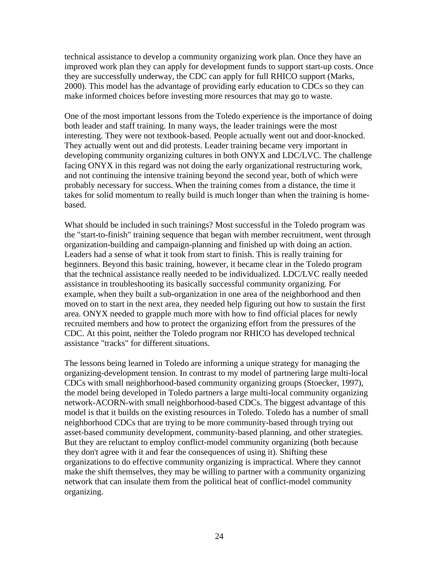technical assistance to develop a community organizing work plan. Once they have an improved work plan they can apply for development funds to support start-up costs. Once they are successfully underway, the CDC can apply for full RHICO support (Marks, 2000). This model has the advantage of providing early education to CDCs so they can make informed choices before investing more resources that may go to waste.

One of the most important lessons from the Toledo experience is the importance of doing both leader and staff training. In many ways, the leader trainings were the most interesting. They were not textbook-based. People actually went out and door-knocked. They actually went out and did protests. Leader training became very important in developing community organizing cultures in both ONYX and LDC/LVC. The challenge facing ONYX in this regard was not doing the early organizational restructuring work, and not continuing the intensive training beyond the second year, both of which were probably necessary for success. When the training comes from a distance, the time it takes for solid momentum to really build is much longer than when the training is homebased.

What should be included in such trainings? Most successful in the Toledo program was the "start-to-finish" training sequence that began with member recruitment, went through organization-building and campaign-planning and finished up with doing an action. Leaders had a sense of what it took from start to finish. This is really training for beginners. Beyond this basic training, however, it became clear in the Toledo program that the technical assistance really needed to be individualized. LDC/LVC really needed assistance in troubleshooting its basically successful community organizing. For example, when they built a sub-organization in one area of the neighborhood and then moved on to start in the next area, they needed help figuring out how to sustain the first area. ONYX needed to grapple much more with how to find official places for newly recruited members and how to protect the organizing effort from the pressures of the CDC. At this point, neither the Toledo program nor RHICO has developed technical assistance "tracks" for different situations.

The lessons being learned in Toledo are informing a unique strategy for managing the organizing-development tension. In contrast to my model of partnering large multi-local CDCs with small neighborhood-based community organizing groups (Stoecker, 1997), the model being developed in Toledo partners a large multi-local community organizing network-ACORN-with small neighborhood-based CDCs. The biggest advantage of this model is that it builds on the existing resources in Toledo. Toledo has a number of small neighborhood CDCs that are trying to be more community-based through trying out asset-based community development, community-based planning, and other strategies. But they are reluctant to employ conflict-model community organizing (both because they don't agree with it and fear the consequences of using it). Shifting these organizations to do effective community organizing is impractical. Where they cannot make the shift themselves, they may be willing to partner with a community organizing network that can insulate them from the political heat of conflict-model community organizing.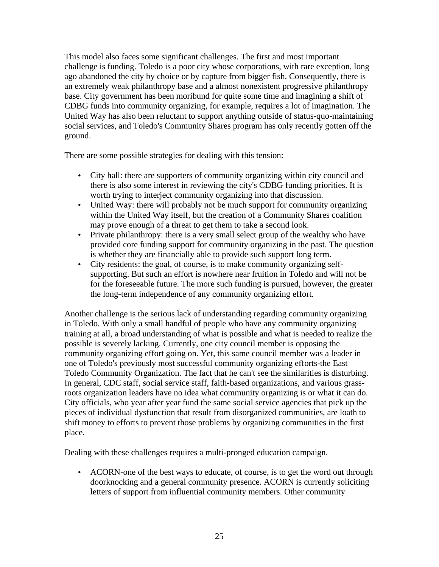This model also faces some significant challenges. The first and most important challenge is funding. Toledo is a poor city whose corporations, with rare exception, long ago abandoned the city by choice or by capture from bigger fish. Consequently, there is an extremely weak philanthropy base and a almost nonexistent progressive philanthropy base. City government has been moribund for quite some time and imagining a shift of CDBG funds into community organizing, for example, requires a lot of imagination. The United Way has also been reluctant to support anything outside of status-quo-maintaining social services, and Toledo's Community Shares program has only recently gotten off the ground.

There are some possible strategies for dealing with this tension:

- City hall: there are supporters of community organizing within city council and there is also some interest in reviewing the city's CDBG funding priorities. It is worth trying to interject community organizing into that discussion.
- United Way: there will probably not be much support for community organizing within the United Way itself, but the creation of a Community Shares coalition may prove enough of a threat to get them to take a second look.
- Private philanthropy: there is a very small select group of the wealthy who have provided core funding support for community organizing in the past. The question is whether they are financially able to provide such support long term.
- City residents: the goal, of course, is to make community organizing selfsupporting. But such an effort is nowhere near fruition in Toledo and will not be for the foreseeable future. The more such funding is pursued, however, the greater the long-term independence of any community organizing effort.

Another challenge is the serious lack of understanding regarding community organizing in Toledo. With only a small handful of people who have any community organizing training at all, a broad understanding of what is possible and what is needed to realize the possible is severely lacking. Currently, one city council member is opposing the community organizing effort going on. Yet, this same council member was a leader in one of Toledo's previously most successful community organizing efforts-the East Toledo Community Organization. The fact that he can't see the similarities is disturbing. In general, CDC staff, social service staff, faith-based organizations, and various grassroots organization leaders have no idea what community organizing is or what it can do. City officials, who year after year fund the same social service agencies that pick up the pieces of individual dysfunction that result from disorganized communities, are loath to shift money to efforts to prevent those problems by organizing communities in the first place.

Dealing with these challenges requires a multi-pronged education campaign.

• ACORN-one of the best ways to educate, of course, is to get the word out through doorknocking and a general community presence. ACORN is currently soliciting letters of support from influential community members. Other community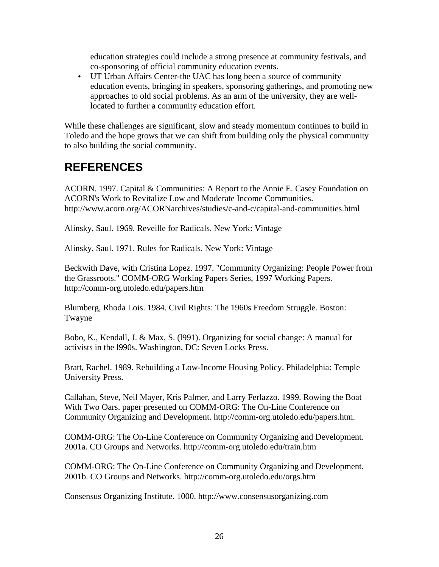education strategies could include a strong presence at community festivals, and co-sponsoring of official community education events.

• UT Urban Affairs Center-the UAC has long been a source of community education events, bringing in speakers, sponsoring gatherings, and promoting new approaches to old social problems. As an arm of the university, they are welllocated to further a community education effort.

While these challenges are significant, slow and steady momentum continues to build in Toledo and the hope grows that we can shift from building only the physical community to also building the social community.

# **REFERENCES**

ACORN. 1997. Capital & Communities: A Report to the Annie E. Casey Foundation on ACORN's Work to Revitalize Low and Moderate Income Communities. http://www.acorn.org/ACORNarchives/studies/c-and-c/capital-and-communities.html

Alinsky, Saul. 1969. Reveille for Radicals. New York: Vintage

Alinsky, Saul. 1971. Rules for Radicals. New York: Vintage

Beckwith Dave, with Cristina Lopez. 1997. "Community Organizing: People Power from the Grassroots." COMM-ORG Working Papers Series, 1997 Working Papers. http://comm-org.utoledo.edu/papers.htm

Blumberg, Rhoda Lois. 1984. Civil Rights: The 1960s Freedom Struggle. Boston: Twayne

Bobo, K., Kendall, J. & Max, S. (l991). Organizing for social change: A manual for activists in the l990s. Washington, DC: Seven Locks Press.

Bratt, Rachel. 1989. Rebuilding a Low-Income Housing Policy. Philadelphia: Temple University Press.

Callahan, Steve, Neil Mayer, Kris Palmer, and Larry Ferlazzo. 1999. Rowing the Boat With Two Oars. paper presented on COMM-ORG: The On-Line Conference on Community Organizing and Development. http://comm-org.utoledo.edu/papers.htm.

COMM-ORG: The On-Line Conference on Community Organizing and Development. 2001a. CO Groups and Networks. http://comm-org.utoledo.edu/train.htm

COMM-ORG: The On-Line Conference on Community Organizing and Development. 2001b. CO Groups and Networks. http://comm-org.utoledo.edu/orgs.htm

Consensus Organizing Institute. 1000. http://www.consensusorganizing.com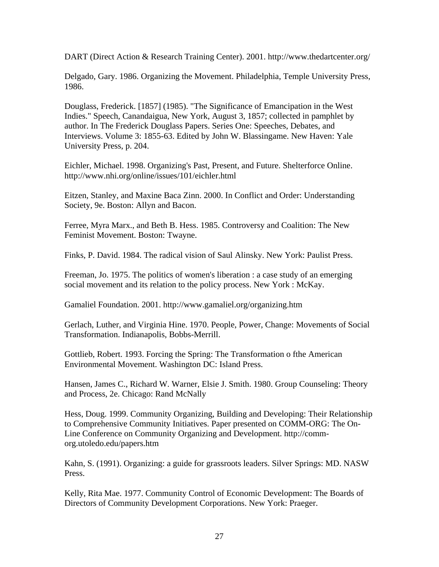DART (Direct Action & Research Training Center). 2001. http://www.thedartcenter.org/

Delgado, Gary. 1986. Organizing the Movement. Philadelphia, Temple University Press, 1986.

Douglass, Frederick. [1857] (1985). "The Significance of Emancipation in the West Indies." Speech, Canandaigua, New York, August 3, 1857; collected in pamphlet by author. In The Frederick Douglass Papers. Series One: Speeches, Debates, and Interviews. Volume 3: 1855-63. Edited by John W. Blassingame. New Haven: Yale University Press, p. 204.

Eichler, Michael. 1998. Organizing's Past, Present, and Future. Shelterforce Online. http://www.nhi.org/online/issues/101/eichler.html

Eitzen, Stanley, and Maxine Baca Zinn. 2000. In Conflict and Order: Understanding Society, 9e. Boston: Allyn and Bacon.

Ferree, Myra Marx., and Beth B. Hess. 1985. Controversy and Coalition: The New Feminist Movement. Boston: Twayne.

Finks, P. David. 1984. The radical vision of Saul Alinsky. New York: Paulist Press.

Freeman, Jo. 1975. The politics of women's liberation : a case study of an emerging social movement and its relation to the policy process. New York : McKay.

Gamaliel Foundation. 2001. http://www.gamaliel.org/organizing.htm

Gerlach, Luther, and Virginia Hine. 1970. People, Power, Change: Movements of Social Transformation. Indianapolis, Bobbs-Merrill.

Gottlieb, Robert. 1993. Forcing the Spring: The Transformation o fthe American Environmental Movement. Washington DC: Island Press.

Hansen, James C., Richard W. Warner, Elsie J. Smith. 1980. Group Counseling: Theory and Process, 2e. Chicago: Rand McNally

Hess, Doug. 1999. Community Organizing, Building and Developing: Their Relationship to Comprehensive Community Initiatives. Paper presented on COMM-ORG: The On-Line Conference on Community Organizing and Development. http://commorg.utoledo.edu/papers.htm

Kahn, S. (1991). Organizing: a guide for grassroots leaders. Silver Springs: MD. NASW Press.

Kelly, Rita Mae. 1977. Community Control of Economic Development: The Boards of Directors of Community Development Corporations. New York: Praeger.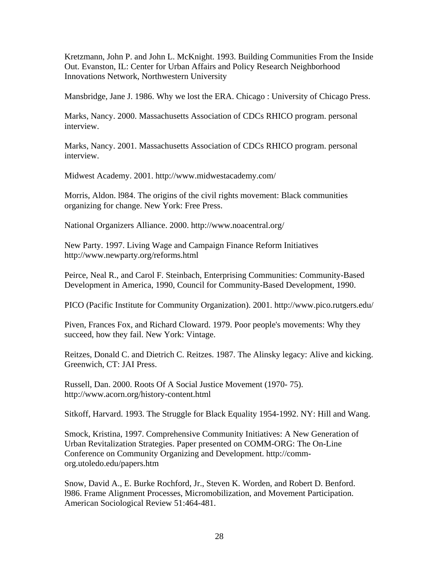Kretzmann, John P. and John L. McKnight. 1993. Building Communities From the Inside Out. Evanston, IL: Center for Urban Affairs and Policy Research Neighborhood Innovations Network, Northwestern University

Mansbridge, Jane J. 1986. Why we lost the ERA. Chicago : University of Chicago Press.

Marks, Nancy. 2000. Massachusetts Association of CDCs RHICO program. personal interview.

Marks, Nancy. 2001. Massachusetts Association of CDCs RHICO program. personal interview.

Midwest Academy. 2001. http://www.midwestacademy.com/

Morris, Aldon. l984. The origins of the civil rights movement: Black communities organizing for change. New York: Free Press.

National Organizers Alliance. 2000. http://www.noacentral.org/

New Party. 1997. Living Wage and Campaign Finance Reform Initiatives http://www.newparty.org/reforms.html

Peirce, Neal R., and Carol F. Steinbach, Enterprising Communities: Community-Based Development in America, 1990, Council for Community-Based Development, 1990.

PICO (Pacific Institute for Community Organization). 2001. http://www.pico.rutgers.edu/

Piven, Frances Fox, and Richard Cloward. 1979. Poor people's movements: Why they succeed, how they fail. New York: Vintage.

Reitzes, Donald C. and Dietrich C. Reitzes. 1987. The Alinsky legacy: Alive and kicking. Greenwich, CT: JAI Press.

Russell, Dan. 2000. Roots Of A Social Justice Movement (1970- 75). http://www.acorn.org/history-content.html

Sitkoff, Harvard. 1993. The Struggle for Black Equality 1954-1992. NY: Hill and Wang.

Smock, Kristina, 1997. Comprehensive Community Initiatives: A New Generation of Urban Revitalization Strategies. Paper presented on COMM-ORG: The On-Line Conference on Community Organizing and Development. http://commorg.utoledo.edu/papers.htm

Snow, David A., E. Burke Rochford, Jr., Steven K. Worden, and Robert D. Benford. l986. Frame Alignment Processes, Micromobilization, and Movement Participation. American Sociological Review 51:464-481.